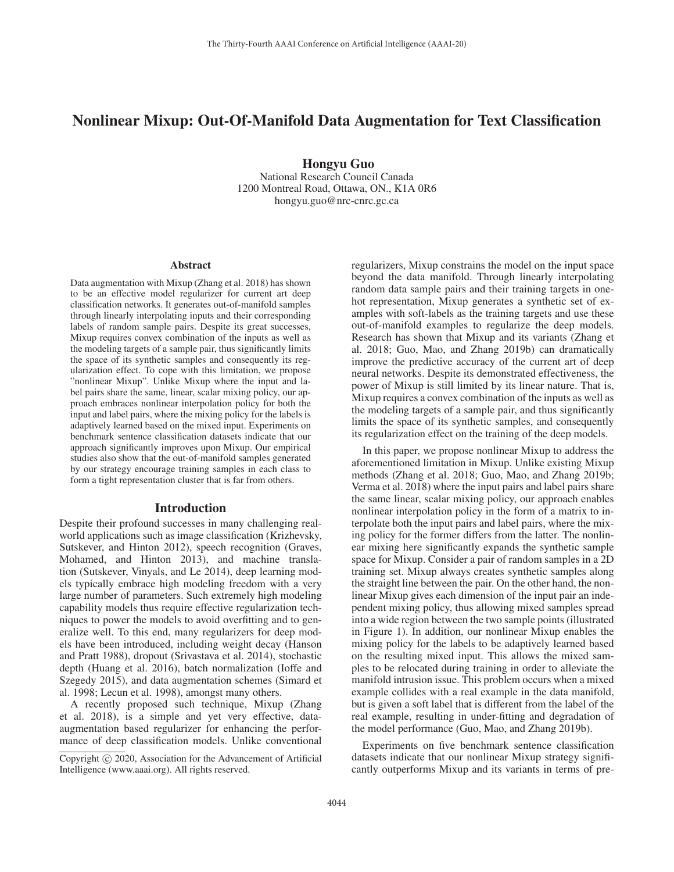# Nonlinear Mixup: Out-Of-Manifold Data Augmentation for Text Classification

Hongyu Guo National Research Council Canada 1200 Montreal Road, Ottawa, ON., K1A 0R6 hongyu.guo@nrc-cnrc.gc.ca

#### Abstract

Data augmentation with Mixup (Zhang et al. 2018) has shown to be an effective model regularizer for current art deep classification networks. It generates out-of-manifold samples through linearly interpolating inputs and their corresponding labels of random sample pairs. Despite its great successes, Mixup requires convex combination of the inputs as well as the modeling targets of a sample pair, thus significantly limits the space of its synthetic samples and consequently its regularization effect. To cope with this limitation, we propose "nonlinear Mixup". Unlike Mixup where the input and label pairs share the same, linear, scalar mixing policy, our approach embraces nonlinear interpolation policy for both the input and label pairs, where the mixing policy for the labels is adaptively learned based on the mixed input. Experiments on benchmark sentence classification datasets indicate that our approach significantly improves upon Mixup. Our empirical studies also show that the out-of-manifold samples generated by our strategy encourage training samples in each class to form a tight representation cluster that is far from others.

#### Introduction

Despite their profound successes in many challenging realworld applications such as image classification (Krizhevsky, Sutskever, and Hinton 2012), speech recognition (Graves, Mohamed, and Hinton 2013), and machine translation (Sutskever, Vinyals, and Le 2014), deep learning models typically embrace high modeling freedom with a very large number of parameters. Such extremely high modeling capability models thus require effective regularization techniques to power the models to avoid overfitting and to generalize well. To this end, many regularizers for deep models have been introduced, including weight decay (Hanson and Pratt 1988), dropout (Srivastava et al. 2014), stochastic depth (Huang et al. 2016), batch normalization (Ioffe and Szegedy 2015), and data augmentation schemes (Simard et al. 1998; Lecun et al. 1998), amongst many others.

A recently proposed such technique, Mixup (Zhang et al. 2018), is a simple and yet very effective, dataaugmentation based regularizer for enhancing the performance of deep classification models. Unlike conventional regularizers, Mixup constrains the model on the input space beyond the data manifold. Through linearly interpolating random data sample pairs and their training targets in onehot representation, Mixup generates a synthetic set of examples with soft-labels as the training targets and use these out-of-manifold examples to regularize the deep models. Research has shown that Mixup and its variants (Zhang et al. 2018; Guo, Mao, and Zhang 2019b) can dramatically improve the predictive accuracy of the current art of deep neural networks. Despite its demonstrated effectiveness, the power of Mixup is still limited by its linear nature. That is, Mixup requires a convex combination of the inputs as well as the modeling targets of a sample pair, and thus significantly limits the space of its synthetic samples, and consequently its regularization effect on the training of the deep models.

In this paper, we propose nonlinear Mixup to address the aforementioned limitation in Mixup. Unlike existing Mixup methods (Zhang et al. 2018; Guo, Mao, and Zhang 2019b; Verma et al. 2018) where the input pairs and label pairs share the same linear, scalar mixing policy, our approach enables nonlinear interpolation policy in the form of a matrix to interpolate both the input pairs and label pairs, where the mixing policy for the former differs from the latter. The nonlinear mixing here significantly expands the synthetic sample space for Mixup. Consider a pair of random samples in a 2D training set. Mixup always creates synthetic samples along the straight line between the pair. On the other hand, the nonlinear Mixup gives each dimension of the input pair an independent mixing policy, thus allowing mixed samples spread into a wide region between the two sample points (illustrated in Figure 1). In addition, our nonlinear Mixup enables the mixing policy for the labels to be adaptively learned based on the resulting mixed input. This allows the mixed samples to be relocated during training in order to alleviate the manifold intrusion issue. This problem occurs when a mixed example collides with a real example in the data manifold, but is given a soft label that is different from the label of the real example, resulting in under-fitting and degradation of the model performance (Guo, Mao, and Zhang 2019b).

Experiments on five benchmark sentence classification datasets indicate that our nonlinear Mixup strategy significantly outperforms Mixup and its variants in terms of pre-

Copyright  $\odot$  2020, Association for the Advancement of Artificial Intelligence (www.aaai.org). All rights reserved.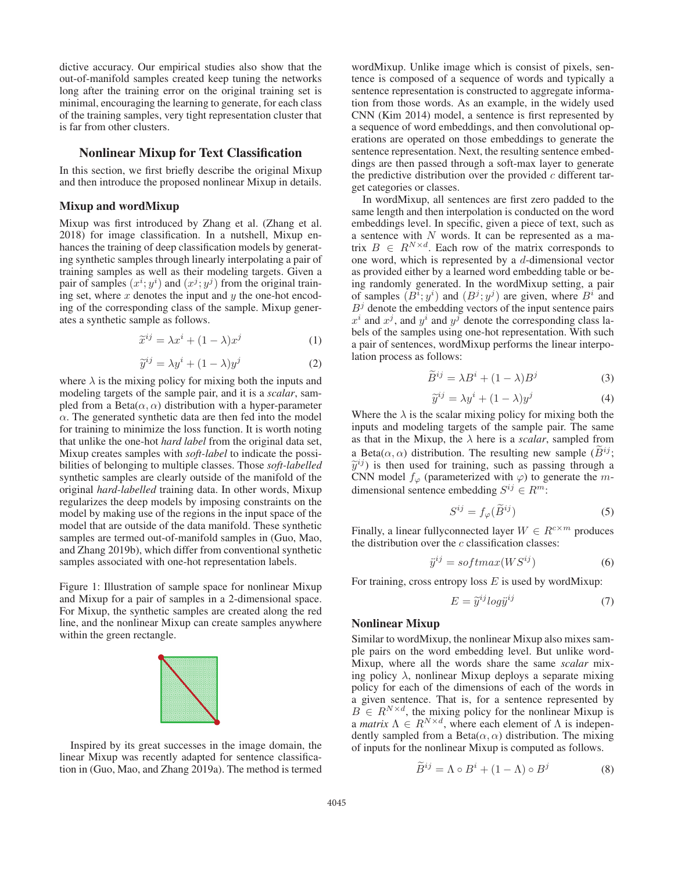dictive accuracy. Our empirical studies also show that the out-of-manifold samples created keep tuning the networks long after the training error on the original training set is minimal, encouraging the learning to generate, for each class of the training samples, very tight representation cluster that is far from other clusters.

## Nonlinear Mixup for Text Classification

In this section, we first briefly describe the original Mixup and then introduce the proposed nonlinear Mixup in details.

## Mixup and wordMixup

Mixup was first introduced by Zhang et al. (Zhang et al. 2018) for image classification. In a nutshell, Mixup enhances the training of deep classification models by generating synthetic samples through linearly interpolating a pair of training samples as well as their modeling targets. Given a pair of samples  $(x^i; y^i)$  and  $(x^j; y^j)$  from the original training set, where  $x$  denotes the input and  $y$  the one-hot encoding of the corresponding class of the sample. Mixup generates a synthetic sample as follows.  $\begin{align} \begin{array}{c} i \\ e \\ 0 \end{array} \end{align}$ <br>m  $\widetilde{x}$  $\begin{bmatrix} \mathfrak{D} \mathfrak{n} \ \mathfrak{D} \mathfrak{n} \end{bmatrix}$   $\begin{bmatrix} \widetilde{x} \ \widetilde{y} \end{bmatrix}$ 

$$
\widetilde{x}^{ij} = \lambda x^i + (1 - \lambda)x^j \tag{1}
$$

$$
\widetilde{y}^{ij} = \lambda y^i + (1 - \lambda)y^j \tag{2}
$$

where  $\lambda$  is the mixing policy for mixing both the inputs and modeling targets of the sample pair, and it is a *scalar*, sampled from a Beta $(\alpha, \alpha)$  distribution with a hyper-parameter  $\alpha$ . The generated synthetic data are then fed into the model for training to minimize the loss function. It is worth noting that unlike the one-hot *hard label* from the original data set, Mixup creates samples with *soft-label* to indicate the possibilities of belonging to multiple classes. Those *soft-labelled* synthetic samples are clearly outside of the manifold of the original *hard-labelled* training data. In other words, Mixup regularizes the deep models by imposing constraints on the model by making use of the regions in the input space of the model that are outside of the data manifold. These synthetic samples are termed out-of-manifold samples in (Guo, Mao, and Zhang 2019b), which differ from conventional synthetic samples associated with one-hot representation labels.

Figure 1: Illustration of sample space for nonlinear Mixup and Mixup for a pair of samples in a 2-dimensional space. For Mixup, the synthetic samples are created along the red line, and the nonlinear Mixup can create samples anywhere within the green rectangle.



Inspired by its great successes in the image domain, the linear Mixup was recently adapted for sentence classification in (Guo, Mao, and Zhang 2019a). The method is termed

wordMixup. Unlike image which is consist of pixels, sentence is composed of a sequence of words and typically a sentence representation is constructed to aggregate information from those words. As an example, in the widely used CNN (Kim 2014) model, a sentence is first represented by a sequence of word embeddings, and then convolutional operations are operated on those embeddings to generate the sentence representation. Next, the resulting sentence embeddings are then passed through a soft-max layer to generate the predictive distribution over the provided  $c$  different target categories or classes.

In wordMixup, all sentences are first zero padded to the same length and then interpolation is conducted on the word embeddings level. In specific, given a piece of text, such as a sentence with N words. It can be represented as a matrix  $B \in R^{N \times d}$ . Each row of the matrix corresponds to one word, which is represented by a d-dimensional vector as provided either by a learned word embedding table or being randomly generated. In the wordMixup setting, a pair of samples  $(B^i; y^i)$  and  $(B^j; y^j)$  are given, where  $B^i$  and  $B<sup>j</sup>$  denote the embedding vectors of the input sentence pairs  $x^i$  and  $x^j$ , and  $y^i$  and  $y^j$  denote the corresponding class labels of the samples using one-hot representation. With such a pair of sentences, wordMixup performs the linear interpolation process as follows:  $\begin{array}{c}\n\text{as} \\
\text{as} \\
\text{as} \\
\text{as} \\
\text{as} \\
\text{as} \\
\text{as} \\
\text{as} \\
\text{as} \\
\text{as} \\
\text{as} \\
\text{as} \\
\text{as} \\
\text{as} \\
\text{as} \\
\text{as} \\
\text{as} \\
\text{as} \\
\text{as} \\
\text{as} \\
\text{as} \\
\text{as} \\
\text{as} \\
\text{as} \\
\text{as} \\
\text{as} \\
\text{as} \\
\text{as} \\
\text{as} \\
\text{as} \\
\text{as} \\
\text{as} \\
\text{as} \\
\text{as} \\
\text{as} \\
\text$  $\begin{array}{c} \circ, \ \circ, \ni \widetilde{y} \end{array}$ 

$$
\widetilde{B}^{ij} = \lambda B^i + (1 - \lambda)B^j \tag{3}
$$

$$
\widetilde{y}^{ij} = \lambda y^i + (1 - \lambda)y^j \tag{4}
$$

Where the  $\lambda$  is the scalar mixing policy for mixing both the inputs and modeling targets of the sample pair. The same as that in the Mixup, the  $\lambda$  here is a *scalar*, sampled from  $\widetilde{y}^{ij} = \lambda y^i + (1 - \lambda)y^j$  (4)<br>Where the  $\lambda$  is the scalar mixing policy for mixing both the<br>inputs and modeling targets of the sample pair. The same<br>as that in the Mixup, the  $\lambda$  here is a *scalar*, sampled from<br>a Bet W ir as  $\tilde{y}$  $\tilde{y}^{ij}$ ) is then used for training, such as passing through a CNN model  $f_{\varphi}$  (parameterized with  $\varphi$ ) to generate the mdimensional sentence embedding  $S^{ij} \in R^m$ : ion. The res<br>training, su<br>meterized wi<br>embedding  $S^{ij} = f_{\varphi}(\tilde{B})$ 

$$
S^{ij} = f_{\varphi}(\widetilde{B}^{ij})
$$
 (5)

Finally, a linear fullyconnected layer  $W \in R^{c \times m}$  produces the distribution over the  $c$  classification classes: e c class<br>= soft:<br>ropy los<br> $E = \tilde{y}$ 

$$
\ddot{y}^{ij} = softmax(WS^{ij})\tag{6}
$$

For training, cross entropy loss  $E$  is used by wordMixup:

$$
E = \tilde{y}^{ij} \log \ddot{y}^{ij} \tag{7}
$$

## Nonlinear Mixup

Similar to wordMixup, the nonlinear Mixup also mixes sample pairs on the word embedding level. But unlike word-Mixup, where all the words share the same *scalar* mixing policy  $\lambda$ , nonlinear Mixup deploys a separate mixing policy for each of the dimensions of each of the words in a given sentence. That is, for a sentence represented by  $B \in R^{N \times d}$ , the mixing policy for the nonlinear Mixup is a *matrix*  $\Lambda \in R^{N \times d}$ , where each element of  $\Lambda$  is independently sampled from a Beta $(\alpha, \alpha)$  distribution. The mixing of inputs for the nonlinear Mixup is computed as follows.  $\begin{array}{c}\n\text{he} \\
\text{Re}\ \text{H} \\
\text{He} \\
\widetilde{B}\n\end{array}$ 

$$
\widetilde{B}^{ij} = \Lambda \circ B^i + (1 - \Lambda) \circ B^j \tag{8}
$$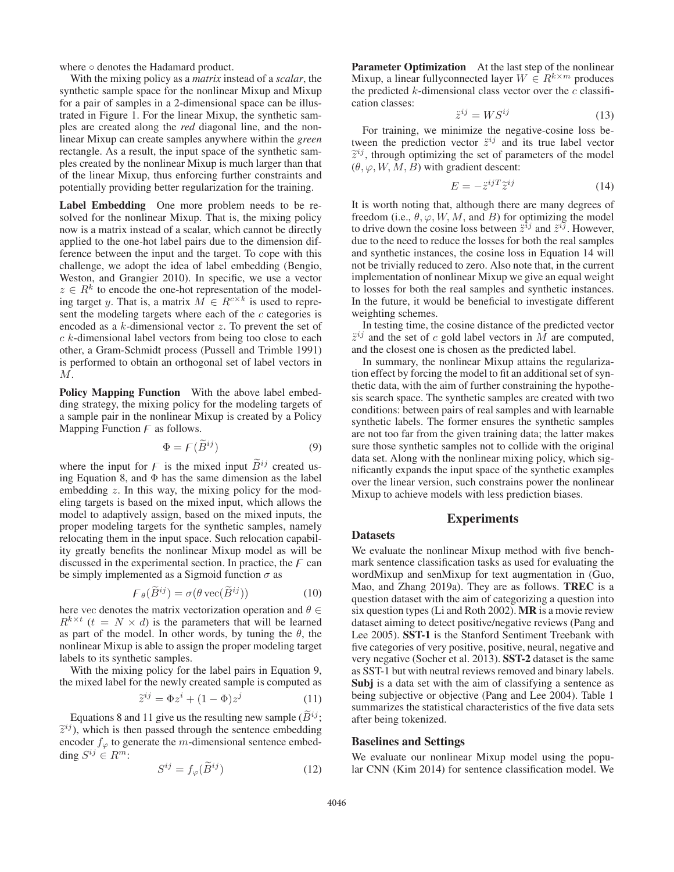where ○ denotes the Hadamard product.

With the mixing policy as a *matrix* instead of a *scalar*, the synthetic sample space for the nonlinear Mixup and Mixup for a pair of samples in a 2-dimensional space can be illustrated in Figure 1. For the linear Mixup, the synthetic samples are created along the *red* diagonal line, and the nonlinear Mixup can create samples anywhere within the *green* rectangle. As a result, the input space of the synthetic samples created by the nonlinear Mixup is much larger than that of the linear Mixup, thus enforcing further constraints and potentially providing better regularization for the training.

Label Embedding One more problem needs to be resolved for the nonlinear Mixup. That is, the mixing policy now is a matrix instead of a scalar, which cannot be directly applied to the one-hot label pairs due to the dimension difference between the input and the target. To cope with this challenge, we adopt the idea of label embedding (Bengio, Weston, and Grangier 2010). In specific, we use a vector  $z \in R^k$  to encode the one-hot representation of the modeling target y. That is, a matrix  $M \in R^{c \times k}$  is used to represent the modeling targets where each of the  $c$  categories is encoded as a  $k$ -dimensional vector  $z$ . To prevent the set of  $c$  k-dimensional label vectors from being too close to each other, a Gram-Schmidt process (Pussell and Trimble 1991) is performed to obtain an orthogonal set of label vectors in M.

Policy Mapping Function With the above label embedding strategy, the mixing policy for the modeling targets of a sample pair in the nonlinear Mixup is created by a Policy Mapping Function  $F$  as follows. Wit<br>:y f<br>Mi<br>'s.<br>( $\widetilde{B}$ ding strategy, the mixing policy for the modeling targets of<br>a sample pair in the nonlinear Mixup is created by a Policy<br>Mapping Function F as follows.<br> $\Phi = F(\tilde{B}^{ij})$  (9)<br>where the input for F is the mixed input  $\tilde{B}^{$ 

$$
\Phi = \mathcal{F}(\widetilde{B}^{ij})\tag{9}
$$

ing Equation 8, and  $\Phi$  has the same dimension as the label embedding z. In this way, the mixing policy for the modeling targets is based on the mixed input, which allows the model to adaptively assign, based on the mixed inputs, the proper modeling targets for the synthetic samples, namely proper modeling targets for the synthetic samples, namely<br>relocating them in the input space. Such relocation capabil-<br>ity greatly benefits the nonlinear Mixup model as will be<br>discussed in the experimental section. In pr ity greatly benefits the nonlinear Mixup model as will be discussed in the experimental section. In practice, the  $\overline{F}$  can be simply implemented as a Sigmoid function  $\sigma$  as

$$
F_{\theta}(\widetilde{B}^{ij}) = \sigma(\theta \operatorname{vec}(\widetilde{B}^{ij}))
$$
 (10)

here vec denotes the matrix vectorization operation and  $\theta \in$  $R^{k \times t}$  ( $t = N \times d$ ) is the parameters that will be learned as part of the model. In other words, by tuning the  $\theta$ , the nonlinear Mixup is able to assign the proper modeling target labels to its synthetic samples.  $\frac{\mathbf{u}}{\mathbf{s}}\text{ }$ stig $\frac{\mathbf{g}}{\widetilde{z}}$ 

With the mixing policy for the label pairs in Equation 9, the mixed label for the newly created sample is computed as bels to its synthetic samples.<br>With the mixing policy for the label pairs in Equation<br>e mixed label for the newly created sample is computed<br> $\tilde{z}^{ij} = \Phi z^i + (1 - \Phi)z^j$  (1<br>Equations 8 and 11 give us the resulting new samp

$$
\tilde{z}^{ij} = \Phi z^i + (1 - \Phi) z^j \tag{11}
$$

Equations 8 and 11 give us the resulting new sample  $(B^{ij})$ ; theorem  $\tilde{z}^{ij}$ ), which is then passed through the sentence embedding encoder  $f_{\varphi}$  to generate the m-dimensional sentence embedding  $S^{ij} \in R^m$ : give us the ressed through<br>set the m-dimension of the m-dimension of  $S^{ij} = f_{\varphi}(\tilde{B})$ 

$$
S^{ij} = f_{\varphi}(\widetilde{B}^{ij}) \tag{12}
$$

Parameter Optimization At the last step of the nonlinear Mixup, a linear fullyconnected layer  $W \in R^{k \times m}$  produces the predicted  $k$ -dimensional class vector over the  $c$  classification classes:

$$
\ddot{z}^{ij} = W S^{ij} \tag{13}
$$

For training, we minimize the negative-cosine loss between the prediction vector  $\ddot{z}^{ij}$  and its true label vector tr<br>c:<br>たいご  $^{ij}$ , through optimizing the set of parameters of the model  $(\theta, \varphi, W, M, B)$  with gradient descent: inimize the r<br>vector  $\ddot{z}^{ij}$  and<br>g the set of pradient descendent<br> $E = -\ddot{z}^{ijT}\tilde{z}$ 

$$
E = -\ddot{z}^{ijT} \widetilde{z}^{ij} \tag{14}
$$

It is worth noting that, although there are many degrees of freedom (i.e.,  $\theta$ ,  $\varphi$ ,  $W$ ,  $M$ , and  $B$ ) for optimizing the model to drive down the cosine loss between  $\ddot{z}^{ij}$  and  $\ddot{z}^{ij}$ . However, due to the need to reduce the losses for both the real samples and synthetic instances, the cosine loss in Equation 14 will not be trivially reduced to zero. Also note that, in the current implementation of nonlinear Mixup we give an equal weight to losses for both the real samples and synthetic instances. In the future, it would be beneficial to investigate different weighting schemes.

In testing time, the cosine distance of the predicted vector  $\ddot{z}^{ij}$  and the set of c gold label vectors in M are computed, and the closest one is chosen as the predicted label.

In summary, the nonlinear Mixup attains the regularization effect by forcing the model to fit an additional set of synthetic data, with the aim of further constraining the hypothesis search space. The synthetic samples are created with two conditions: between pairs of real samples and with learnable synthetic labels. The former ensures the synthetic samples are not too far from the given training data; the latter makes sure those synthetic samples not to collide with the original data set. Along with the nonlinear mixing policy, which significantly expands the input space of the synthetic examples over the linear version, such constrains power the nonlinear Mixup to achieve models with less prediction biases.

## Experiments

## **Datasets**

We evaluate the nonlinear Mixup method with five benchmark sentence classification tasks as used for evaluating the wordMixup and senMixup for text augmentation in (Guo, Mao, and Zhang 2019a). They are as follows. TREC is a question dataset with the aim of categorizing a question into six question types (Li and Roth 2002). MR is a movie review dataset aiming to detect positive/negative reviews (Pang and Lee 2005). SST-1 is the Stanford Sentiment Treebank with five categories of very positive, positive, neural, negative and very negative (Socher et al. 2013). SST-2 dataset is the same as SST-1 but with neutral reviews removed and binary labels. Subj is a data set with the aim of classifying a sentence as being subjective or objective (Pang and Lee 2004). Table 1 summarizes the statistical characteristics of the five data sets after being tokenized.

#### Baselines and Settings

We evaluate our nonlinear Mixup model using the popular CNN (Kim 2014) for sentence classification model. We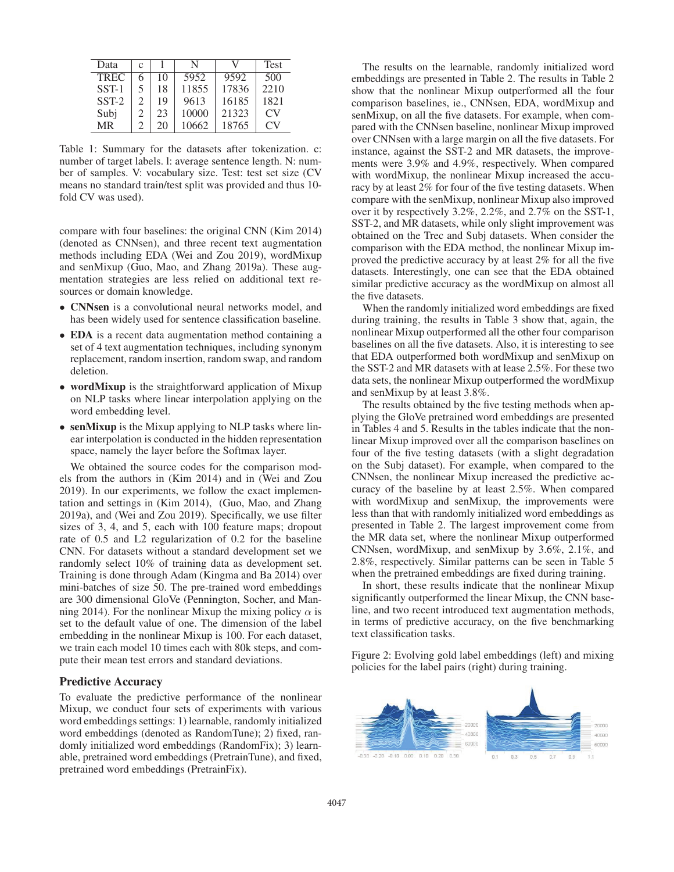| Data        | c              |    | N     |       | <b>Test</b> |
|-------------|----------------|----|-------|-------|-------------|
| <b>TREC</b> | 6              | 10 | 5952  | 9592  | 500         |
| SST-1       | 5              | 18 | 11855 | 17836 | 2210        |
| $SST-2$     | $\mathfrak{D}$ | 19 | 9613  | 16185 | 1821        |
| Subj        | 2              | 23 | 10000 | 21323 | CV          |
| MR          | $\mathfrak{D}$ | 20 | 10662 | 18765 | CV          |

Table 1: Summary for the datasets after tokenization. c: number of target labels. l: average sentence length. N: number of samples. V: vocabulary size. Test: test set size (CV means no standard train/test split was provided and thus 10 fold CV was used).

compare with four baselines: the original CNN (Kim 2014) (denoted as CNNsen), and three recent text augmentation methods including EDA (Wei and Zou 2019), wordMixup and senMixup (Guo, Mao, and Zhang 2019a). These augmentation strategies are less relied on additional text resources or domain knowledge.

- CNNsen is a convolutional neural networks model, and has been widely used for sentence classification baseline.
- EDA is a recent data augmentation method containing a set of 4 text augmentation techniques, including synonym replacement, random insertion, random swap, and random deletion.
- wordMixup is the straightforward application of Mixup on NLP tasks where linear interpolation applying on the word embedding level.
- senMixup is the Mixup applying to NLP tasks where linear interpolation is conducted in the hidden representation space, namely the layer before the Softmax layer.

We obtained the source codes for the comparison models from the authors in (Kim 2014) and in (Wei and Zou 2019). In our experiments, we follow the exact implementation and settings in (Kim 2014), (Guo, Mao, and Zhang 2019a), and (Wei and Zou 2019). Specifically, we use filter sizes of 3, 4, and 5, each with 100 feature maps; dropout rate of 0.5 and L2 regularization of 0.2 for the baseline CNN. For datasets without a standard development set we randomly select 10% of training data as development set. Training is done through Adam (Kingma and Ba 2014) over mini-batches of size 50. The pre-trained word embeddings are 300 dimensional GloVe (Pennington, Socher, and Manning 2014). For the nonlinear Mixup the mixing policy  $\alpha$  is set to the default value of one. The dimension of the label embedding in the nonlinear Mixup is 100. For each dataset, we train each model 10 times each with 80k steps, and compute their mean test errors and standard deviations.

## Predictive Accuracy

To evaluate the predictive performance of the nonlinear Mixup, we conduct four sets of experiments with various word embeddings settings: 1) learnable, randomly initialized word embeddings (denoted as RandomTune); 2) fixed, randomly initialized word embeddings (RandomFix); 3) learnable, pretrained word embeddings (PretrainTune), and fixed, pretrained word embeddings (PretrainFix).

The results on the learnable, randomly initialized word embeddings are presented in Table 2. The results in Table 2 show that the nonlinear Mixup outperformed all the four comparison baselines, ie., CNNsen, EDA, wordMixup and senMixup, on all the five datasets. For example, when compared with the CNNsen baseline, nonlinear Mixup improved over CNNsen with a large margin on all the five datasets. For instance, against the SST-2 and MR datasets, the improvements were 3.9% and 4.9%, respectively. When compared with wordMixup, the nonlinear Mixup increased the accuracy by at least 2% for four of the five testing datasets. When compare with the senMixup, nonlinear Mixup also improved over it by respectively 3.2%, 2.2%, and 2.7% on the SST-1, SST-2, and MR datasets, while only slight improvement was obtained on the Trec and Subj datasets. When consider the comparison with the EDA method, the nonlinear Mixup improved the predictive accuracy by at least 2% for all the five datasets. Interestingly, one can see that the EDA obtained similar predictive accuracy as the wordMixup on almost all the five datasets.

When the randomly initialized word embeddings are fixed during training, the results in Table 3 show that, again, the nonlinear Mixup outperformed all the other four comparison baselines on all the five datasets. Also, it is interesting to see that EDA outperformed both wordMixup and senMixup on the SST-2 and MR datasets with at lease 2.5%. For these two data sets, the nonlinear Mixup outperformed the wordMixup and senMixup by at least 3.8%.

The results obtained by the five testing methods when applying the GloVe pretrained word embeddings are presented in Tables 4 and 5. Results in the tables indicate that the nonlinear Mixup improved over all the comparison baselines on four of the five testing datasets (with a slight degradation on the Subj dataset). For example, when compared to the CNNsen, the nonlinear Mixup increased the predictive accuracy of the baseline by at least 2.5%. When compared with wordMixup and senMixup, the improvements were less than that with randomly initialized word embeddings as presented in Table 2. The largest improvement come from the MR data set, where the nonlinear Mixup outperformed CNNsen, wordMixup, and senMixup by 3.6%, 2.1%, and 2.8%, respectively. Similar patterns can be seen in Table 5 when the pretrained embeddings are fixed during training.

In short, these results indicate that the nonlinear Mixup significantly outperformed the linear Mixup, the CNN baseline, and two recent introduced text augmentation methods, in terms of predictive accuracy, on the five benchmarking text classification tasks.

Figure 2: Evolving gold label embeddings (left) and mixing policies for the label pairs (right) during training.

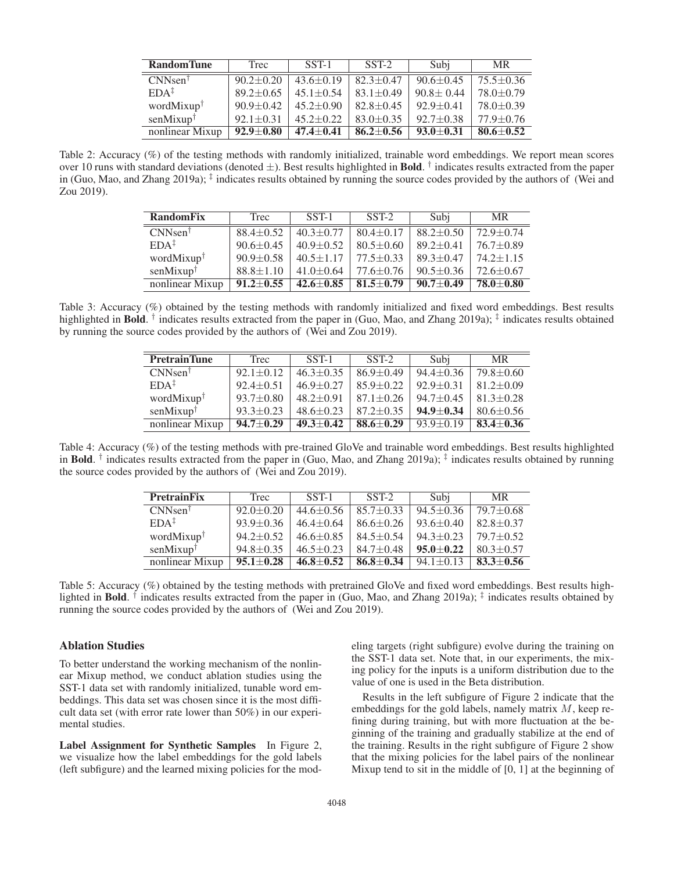| <b>RandomTune</b>      | Trec            | $SST-1$         | SST-2           | Subj            | <b>MR</b>       |
|------------------------|-----------------|-----------------|-----------------|-----------------|-----------------|
| $CNNsen^{\dagger}$     | $90.2 \pm 0.20$ | $43.6 \pm 0.19$ | $82.3 \pm 0.47$ | $90.6 + 0.45$   | $75.5 \pm 0.36$ |
| $EDA^{\ddagger}$       | $89.2 \pm 0.65$ | $45.1 \pm 0.54$ | $83.1 \pm 0.49$ | $90.8 \pm 0.44$ | $78.0 + 0.79$   |
| wordMixup <sup>†</sup> | $90.9 \pm 0.42$ | $45.2 \pm 0.90$ | $82.8 \pm 0.45$ | $92.9 \pm 0.41$ | $78.0 \pm 0.39$ |
| senMixup <sup>†</sup>  | $92.1 \pm 0.31$ | $45.2 \pm 0.22$ | $83.0 \pm 0.35$ | $92.7 + 0.38$   | $77.9 + 0.76$   |
| nonlinear Mixup        | $92.9 \pm 0.80$ | $47.4 \pm 0.41$ | $86.2 \pm 0.56$ | $93.0 \pm 0.31$ | $80.6 + 0.52$   |

Table 2: Accuracy (%) of the testing methods with randomly initialized, trainable word embeddings. We report mean scores over 10 runs with standard deviations (denoted  $\pm$ ). Best results highlighted in **Bold**. <sup>†</sup> indicates results extracted from the paper in (Guo, Mao, and Zhang 2019a);  $\frac{1}{4}$  indicates results obtained by running the source codes provided by the authors of (Wei and Zou 2019).

| <b>RandomFix</b>                         | Trec            | $SST-1$                | $SST-2$         | Subj            | <b>MR</b>       |
|------------------------------------------|-----------------|------------------------|-----------------|-----------------|-----------------|
| $CNNsen^{\dagger}$                       | $88.4 \pm 0.52$ | $40.3 \pm 0.77$        | $80.4 \pm 0.17$ | $88.2 \pm 0.50$ | $72.9 + 0.74$   |
| $EDA^{\ddagger}$                         | $90.6 \pm 0.45$ | $40.9 \pm 0.52$        | $80.5 \pm 0.60$ | $89.2 \pm 0.41$ | $76.7 + 0.89$   |
| wordMixup <sup>†</sup>                   | $90.9 \pm 0.58$ | $40.5 \pm 1.17$        | $77.5 \pm 0.33$ | $89.3 \pm 0.47$ | $74.2 \pm 1.15$ |
| senMixup <sup><math>\dagger</math></sup> | $88.8 \pm 1.10$ | $41.0 \pm 0.64$        | $77.6 + 0.76$   | $90.5 \pm 0.36$ | $72.6 \pm 0.67$ |
| nonlinear Mixup                          | $91.2 \pm 0.55$ | $\sqrt{42.6} \pm 0.85$ | $81.5 \pm 0.79$ | $90.7 + 0.49$   | $78.0 + 0.80$   |

Table 3: Accuracy (%) obtained by the testing methods with randomly initialized and fixed word embeddings. Best results highlighted in **Bold.** † indicates results extracted from the paper in (Guo, Mao, and Zhang 2019a);  $\ddagger$  indicates results obtained by running the source codes provided by the authors of (Wei and Zou 2019).

| <b>PretrainTune</b>    | Trec            | $SST-1$         | SST-2           | Subj            | <b>MR</b>       |
|------------------------|-----------------|-----------------|-----------------|-----------------|-----------------|
| $CNNsen^{\dagger}$     | $92.1 \pm 0.12$ | $46.3 \pm 0.35$ | $86.9 \pm 0.49$ | $94.4 \pm 0.36$ | $79.8 \pm 0.60$ |
| $EDA^{\ddagger}$       | $92.4 \pm 0.51$ | $46.9 + 0.27$   | $85.9 + 0.22$   | $92.9 \pm 0.31$ | $81.2 \pm 0.09$ |
| wordMixup <sup>†</sup> | $93.7 \pm 0.80$ | $48.2 \pm 0.91$ | $87.1 \pm 0.26$ | $94.7 + 0.45$   | $81.3 + 0.28$   |
| $senMixup^{\dagger}$   | $93.3 \pm 0.23$ | $48.6 \pm 0.23$ | $87.2 + 0.35$   | $94.9 + 0.34$   | $80.6 + 0.56$   |
| nonlinear Mixup        | $94.7 + 0.29$   | $49.3 \pm 0.42$ | $88.6 + 0.29$   | $93.9 + 0.19$   | $83.4 \pm 0.36$ |

Table 4: Accuracy (%) of the testing methods with pre-trained GloVe and trainable word embeddings. Best results highlighted in Bold.  $\dagger$  indicates results extracted from the paper in (Guo, Mao, and Zhang 2019a);  $\dagger$  indicates results obtained by running the source codes provided by the authors of (Wei and Zou 2019).

| <b>PretrainFix</b>                        | <b>Trec</b>     | $SST-1$         | SST-2           | Subj            | <b>MR</b>       |
|-------------------------------------------|-----------------|-----------------|-----------------|-----------------|-----------------|
| $CNNsen^{\dagger}$                        | $92.0 \pm 0.20$ | $44.6 \pm 0.56$ | $85.7 + 0.33$   | $94.5 \pm 0.36$ | $79.7 \pm 0.68$ |
| $EDA^{\ddagger}$                          | $93.9 + 0.36$   | $46.4 \pm 0.64$ | $86.6 \pm 0.26$ | $93.6 \pm 0.40$ | $82.8 \pm 0.37$ |
| wordMixup <sup>†</sup>                    | $94.2 \pm 0.52$ | $46.6 \pm 0.85$ | $84.5 \pm 0.54$ | $94.3 \pm 0.23$ | $79.7 \pm 0.52$ |
| senMixup <sup><math>\uparrow</math></sup> | $94.8 \pm 0.35$ | $46.5 \pm 0.23$ | $84.7 \pm 0.48$ | $95.0 + 0.22$   | $80.3 \pm 0.57$ |
| nonlinear Mixup                           | $95.1 \pm 0.28$ | $46.8 \pm 0.52$ | $86.8 + 0.34$   | $94.1 + 0.13$   | $83.3 + 0.56$   |

Table 5: Accuracy (%) obtained by the testing methods with pretrained GloVe and fixed word embeddings. Best results highlighted in Bold. <sup>†</sup> indicates results extracted from the paper in (Guo, Mao, and Zhang 2019a); <sup>‡</sup> indicates results obtained by running the source codes provided by the authors of (Wei and Zou 2019).

## Ablation Studies

To better understand the working mechanism of the nonlinear Mixup method, we conduct ablation studies using the SST-1 data set with randomly initialized, tunable word embeddings. This data set was chosen since it is the most difficult data set (with error rate lower than 50%) in our experimental studies.

Label Assignment for Synthetic Samples In Figure 2, we visualize how the label embeddings for the gold labels (left subfigure) and the learned mixing policies for the modeling targets (right subfigure) evolve during the training on the SST-1 data set. Note that, in our experiments, the mixing policy for the inputs is a uniform distribution due to the value of one is used in the Beta distribution.

Results in the left subfigure of Figure 2 indicate that the embeddings for the gold labels, namely matrix  $M$ , keep refining during training, but with more fluctuation at the beginning of the training and gradually stabilize at the end of the training. Results in the right subfigure of Figure 2 show that the mixing policies for the label pairs of the nonlinear Mixup tend to sit in the middle of [0, 1] at the beginning of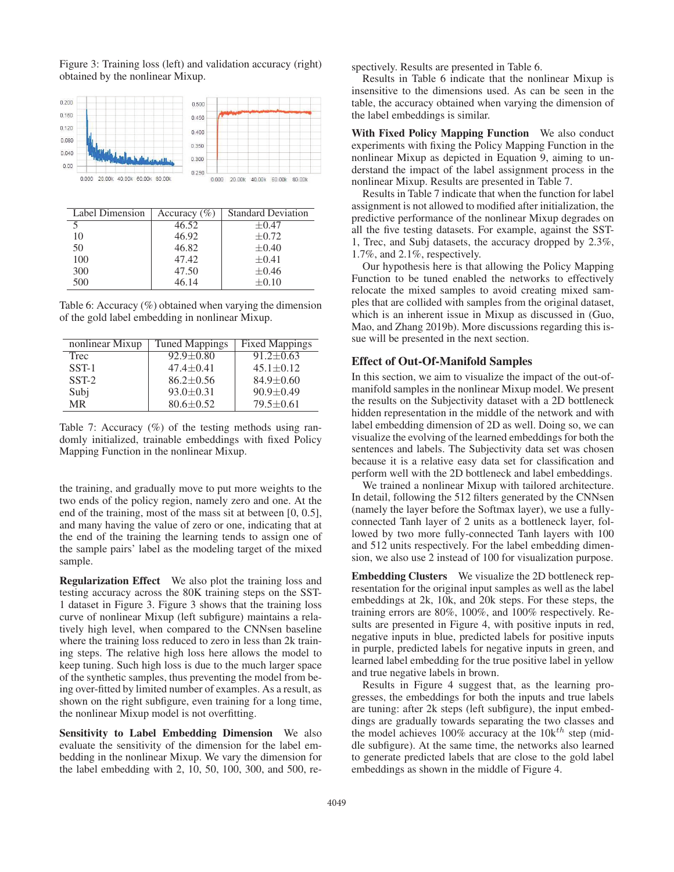Figure 3: Training loss (left) and validation accuracy (right) obtained by the nonlinear Mixup.



Table 6: Accuracy (%) obtained when varying the dimension of the gold label embedding in nonlinear Mixup.

500  $46.14$   $\pm 0.10$ 

| nonlinear Mixup | <b>Tuned Mappings</b> | <b>Fixed Mappings</b> |
|-----------------|-----------------------|-----------------------|
| Trec            | $92.9 \pm 0.80$       | $91.2 \pm 0.63$       |
| $SST-1$         | $47.4 \pm 0.41$       | $45.1 \pm 0.12$       |
| $SST-2$         | $86.2 + 0.56$         | $84.9 + 0.60$         |
| Subj            | $93.0 \pm 0.31$       | $90.9 + 0.49$         |
| MR              | $80.6 \pm 0.52$       | 79.5 ± 0.61           |

Table 7: Accuracy (%) of the testing methods using randomly initialized, trainable embeddings with fixed Policy Mapping Function in the nonlinear Mixup.

the training, and gradually move to put more weights to the two ends of the policy region, namely zero and one. At the end of the training, most of the mass sit at between [0, 0.5], and many having the value of zero or one, indicating that at the end of the training the learning tends to assign one of the sample pairs' label as the modeling target of the mixed sample.

Regularization Effect We also plot the training loss and testing accuracy across the 80K training steps on the SST-1 dataset in Figure 3. Figure 3 shows that the training loss curve of nonlinear Mixup (left subfigure) maintains a relatively high level, when compared to the CNNsen baseline where the training loss reduced to zero in less than 2k training steps. The relative high loss here allows the model to keep tuning. Such high loss is due to the much larger space of the synthetic samples, thus preventing the model from being over-fitted by limited number of examples. As a result, as shown on the right subfigure, even training for a long time, the nonlinear Mixup model is not overfitting.

Sensitivity to Label Embedding Dimension We also evaluate the sensitivity of the dimension for the label embedding in the nonlinear Mixup. We vary the dimension for the label embedding with 2, 10, 50, 100, 300, and 500, respectively. Results are presented in Table 6.

Results in Table 6 indicate that the nonlinear Mixup is insensitive to the dimensions used. As can be seen in the table, the accuracy obtained when varying the dimension of the label embeddings is similar.

With Fixed Policy Mapping Function We also conduct experiments with fixing the Policy Mapping Function in the nonlinear Mixup as depicted in Equation 9, aiming to understand the impact of the label assignment process in the nonlinear Mixup. Results are presented in Table 7.

Results in Table 7 indicate that when the function for label assignment is not allowed to modified after initialization, the predictive performance of the nonlinear Mixup degrades on all the five testing datasets. For example, against the SST-1, Trec, and Subj datasets, the accuracy dropped by 2.3%, 1.7%, and 2.1%, respectively.

Our hypothesis here is that allowing the Policy Mapping Function to be tuned enabled the networks to effectively relocate the mixed samples to avoid creating mixed samples that are collided with samples from the original dataset, which is an inherent issue in Mixup as discussed in (Guo, Mao, and Zhang 2019b). More discussions regarding this issue will be presented in the next section.

#### Effect of Out-Of-Manifold Samples

In this section, we aim to visualize the impact of the out-ofmanifold samples in the nonlinear Mixup model. We present the results on the Subjectivity dataset with a 2D bottleneck hidden representation in the middle of the network and with label embedding dimension of 2D as well. Doing so, we can visualize the evolving of the learned embeddings for both the sentences and labels. The Subjectivity data set was chosen because it is a relative easy data set for classification and perform well with the 2D bottleneck and label embeddings.

We trained a nonlinear Mixup with tailored architecture. In detail, following the 512 filters generated by the CNNsen (namely the layer before the Softmax layer), we use a fullyconnected Tanh layer of 2 units as a bottleneck layer, followed by two more fully-connected Tanh layers with 100 and 512 units respectively. For the label embedding dimension, we also use 2 instead of 100 for visualization purpose.

Embedding Clusters We visualize the 2D bottleneck representation for the original input samples as well as the label embeddings at 2k, 10k, and 20k steps. For these steps, the training errors are 80%, 100%, and 100% respectively. Results are presented in Figure 4, with positive inputs in red, negative inputs in blue, predicted labels for positive inputs in purple, predicted labels for negative inputs in green, and learned label embedding for the true positive label in yellow and true negative labels in brown.

Results in Figure 4 suggest that, as the learning progresses, the embeddings for both the inputs and true labels are tuning: after 2k steps (left subfigure), the input embeddings are gradually towards separating the two classes and the model achieves 100% accuracy at the 10 $k^{th}$  step (middle subfigure). At the same time, the networks also learned to generate predicted labels that are close to the gold label embeddings as shown in the middle of Figure 4.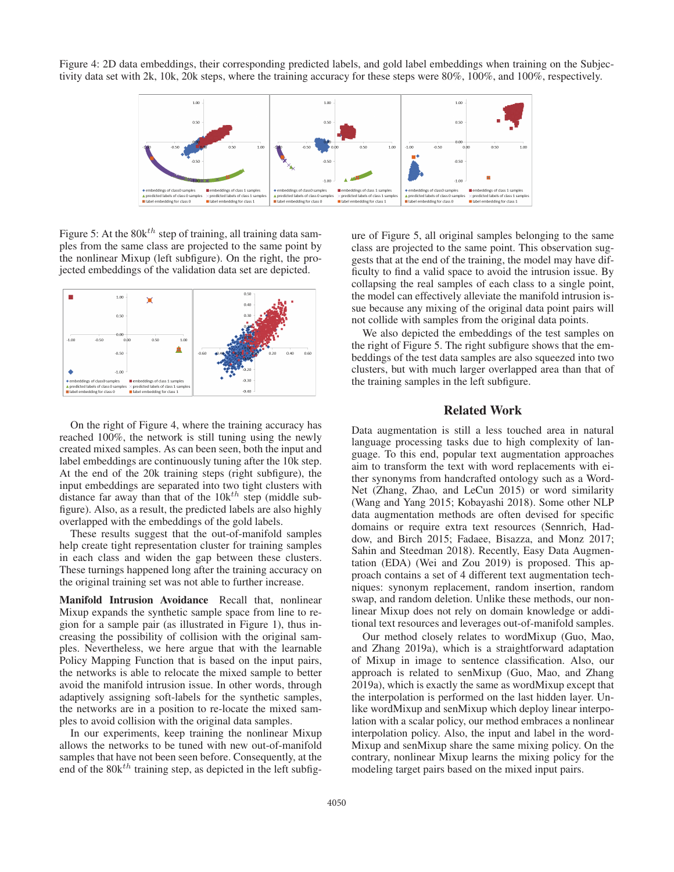Figure 4: 2D data embeddings, their corresponding predicted labels, and gold label embeddings when training on the Subjectivity data set with 2k, 10k, 20k steps, where the training accuracy for these steps were 80%, 100%, and 100%, respectively.



Figure 5: At the  $80k^{th}$  step of training, all training data samples from the same class are projected to the same point by the nonlinear Mixup (left subfigure). On the right, the projected embeddings of the validation data set are depicted.



On the right of Figure 4, where the training accuracy has reached 100%, the network is still tuning using the newly created mixed samples. As can been seen, both the input and label embeddings are continuously tuning after the 10k step. At the end of the 20k training steps (right subfigure), the input embeddings are separated into two tight clusters with distance far away than that of the  $10k^{th}$  step (middle subfigure). Also, as a result, the predicted labels are also highly overlapped with the embeddings of the gold labels.

These results suggest that the out-of-manifold samples help create tight representation cluster for training samples in each class and widen the gap between these clusters. These turnings happened long after the training accuracy on the original training set was not able to further increase.

Manifold Intrusion Avoidance Recall that, nonlinear Mixup expands the synthetic sample space from line to region for a sample pair (as illustrated in Figure 1), thus increasing the possibility of collision with the original samples. Nevertheless, we here argue that with the learnable Policy Mapping Function that is based on the input pairs, the networks is able to relocate the mixed sample to better avoid the manifold intrusion issue. In other words, through adaptively assigning soft-labels for the synthetic samples, the networks are in a position to re-locate the mixed samples to avoid collision with the original data samples.

In our experiments, keep training the nonlinear Mixup allows the networks to be tuned with new out-of-manifold samples that have not been seen before. Consequently, at the end of the  $80k^{th}$  training step, as depicted in the left subfig-

ure of Figure 5, all original samples belonging to the same class are projected to the same point. This observation suggests that at the end of the training, the model may have difficulty to find a valid space to avoid the intrusion issue. By collapsing the real samples of each class to a single point, the model can effectively alleviate the manifold intrusion issue because any mixing of the original data point pairs will not collide with samples from the original data points.

We also depicted the embeddings of the test samples on the right of Figure 5. The right subfigure shows that the embeddings of the test data samples are also squeezed into two clusters, but with much larger overlapped area than that of the training samples in the left subfigure.

## Related Work

Data augmentation is still a less touched area in natural language processing tasks due to high complexity of language. To this end, popular text augmentation approaches aim to transform the text with word replacements with either synonyms from handcrafted ontology such as a Word-Net (Zhang, Zhao, and LeCun 2015) or word similarity (Wang and Yang 2015; Kobayashi 2018). Some other NLP data augmentation methods are often devised for specific domains or require extra text resources (Sennrich, Haddow, and Birch 2015; Fadaee, Bisazza, and Monz 2017; Sahin and Steedman 2018). Recently, Easy Data Augmentation (EDA) (Wei and Zou 2019) is proposed. This approach contains a set of 4 different text augmentation techniques: synonym replacement, random insertion, random swap, and random deletion. Unlike these methods, our nonlinear Mixup does not rely on domain knowledge or additional text resources and leverages out-of-manifold samples.

Our method closely relates to wordMixup (Guo, Mao, and Zhang 2019a), which is a straightforward adaptation of Mixup in image to sentence classification. Also, our approach is related to senMixup (Guo, Mao, and Zhang 2019a), which is exactly the same as wordMixup except that the interpolation is performed on the last hidden layer. Unlike wordMixup and senMixup which deploy linear interpolation with a scalar policy, our method embraces a nonlinear interpolation policy. Also, the input and label in the word-Mixup and senMixup share the same mixing policy. On the contrary, nonlinear Mixup learns the mixing policy for the modeling target pairs based on the mixed input pairs.